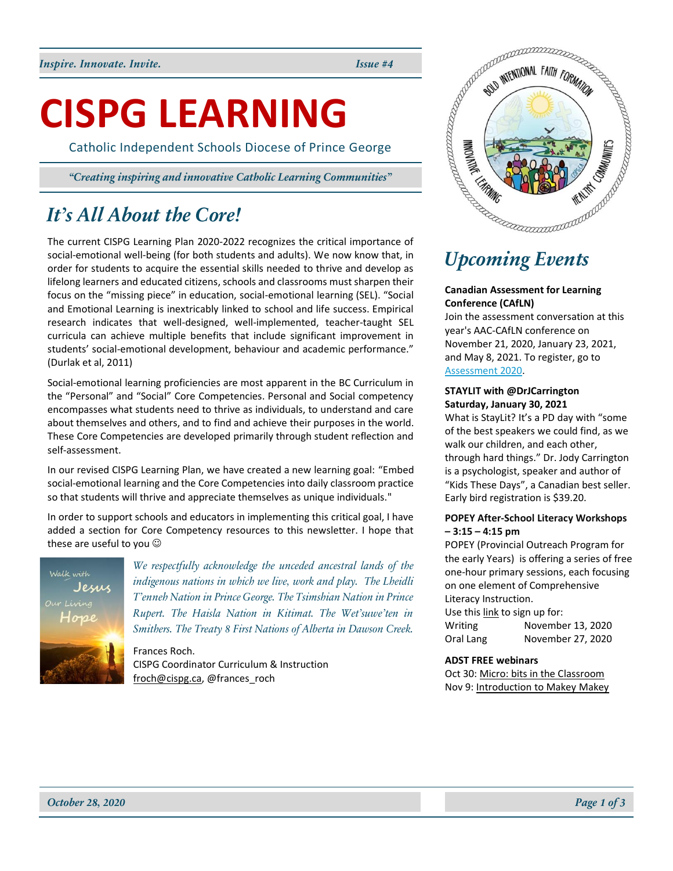**CISPG LEARNING**

Catholic Independent Schools Diocese of Prince George

*"Creating inspiring and innovative Catholic Learning Communities"*

# *It's All About the Core!*

The current CISPG Learning Plan 2020-2022 recognizes the critical importance of social-emotional well-being (for both students and adults). We now know that, in order for students to acquire the essential skills needed to thrive and develop as lifelong learners and educated citizens, schools and classrooms must sharpen their focus on the "missing piece" in education, social-emotional learning (SEL). "Social and Emotional Learning is inextricably linked to school and life success. Empirical research indicates that well-designed, well-implemented, teacher-taught SEL curricula can achieve multiple benefits that include significant improvement in students' social-emotional development, behaviour and academic performance." (Durlak et al, 2011)

Social-emotional learning proficiencies are most apparent in the BC Curriculum in the "Personal" and "Social" Core Competencies. Personal and Social competency encompasses what students need to thrive as individuals, to understand and care about themselves and others, and to find and achieve their purposes in the world. These Core Competencies are developed primarily through student reflection and self-assessment.

In our revised CISPG Learning Plan, we have created a new learning goal: "Embed social-emotional learning and the Core Competencies into daily classroom practice so that students will thrive and appreciate themselves as unique individuals."

In order to support schools and educators in implementing this critical goal, I have added a section for Core Competency resources to this newsletter. I hope that these are useful to you  $\odot$ 



*We respectfully acknowledge the unceded ancestral lands of the indigenous nations in which we live, work and play. The Lheidli T'enneh Nation in Prince George. The Tsimshian Nation in Prince Rupert. The Haisla Nation in Kitimat. The Wet'suwe'ten in Smithers. The Treaty 8 First Nations of Alberta in Dawson Creek.*

Frances Roch. CISPG Coordinator Curriculum & Instruction [froch@cispg.ca,](mailto:froch@cispg.ca) @frances\_roch



### **Canadian Assessment for Learning Conference (CAfLN)**

Join the assessment conversation at this year's AAC-CAfLN conference on November 21, 2020, January 23, 2021, and May 8, 2021. To register, go to [Assessment 2020.](https://events.eply.com/AssessmentConference2020/virtual.aspx)

### **STAYLIT with @DrJCarrington Saturday, January 30, 2021**

What is StayLit? It's a PD day with "some of the best speakers we could find, as we walk our children, and each other, through hard things." Dr. Jody Carrington is a psychologist, speaker and author of "Kids These Days", a Canadian best seller. Early bird registration is \$39.20.

### **POPEY After-School Literacy Workshops – 3:15 – 4:15 pm**

POPEY (Provincial Outreach Program for the early Years) is offering a series of free one-hour primary sessions, each focusing on one element of Comprehensive Literacy Instruction.

Use thi[s link](https://popey.ca/news/2020/09/fall-online-workshop-series) to sign up for: Writing November 13, 2020 Oral Lang November 27, 2020

### **ADST FREE webinars**

Oct 30[: Micro: bits in the Classroom](https://robotixeducation.ca/pages/micro-bits-in-the-classroom) Nov 9[: Introduction to Makey Makey](https://robotixeducation.ca/pages/introduction-to-makey-makey)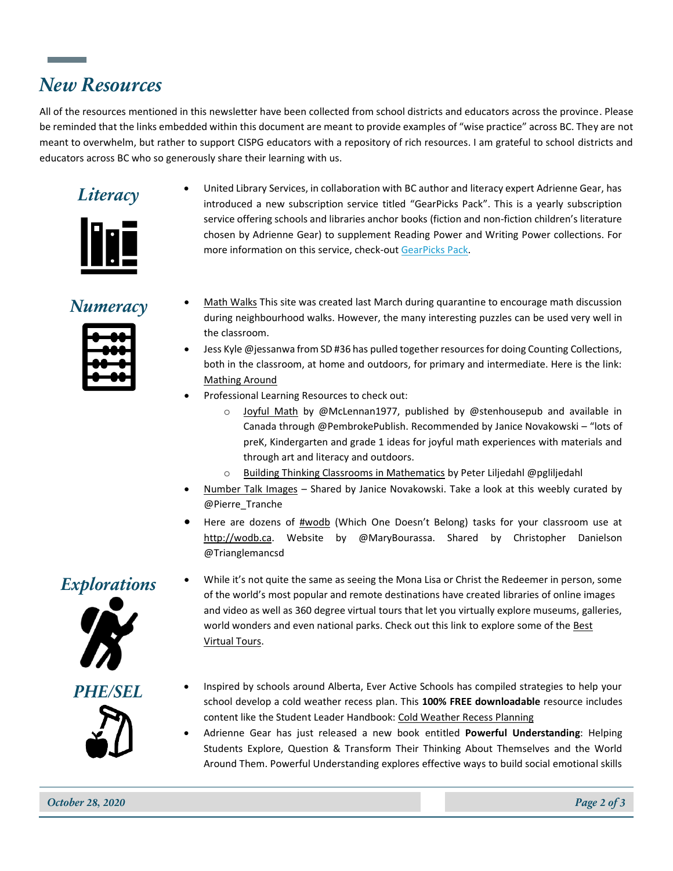## *New Resources*

All of the resources mentioned in this newsletter have been collected from school districts and educators across the province. Please be reminded that the links embedded within this document are meant to provide examples of "wise practice" across BC. They are not meant to overwhelm, but rather to support CISPG educators with a repository of rich resources. I am grateful to school districts and educators across BC who so generously share their learning with us.



**Literacy** • United Library Services, in collaboration with BC author and literacy expert Adrienne Gear, has introduced a new subscription service titled "GearPicks Pack". This is a yearly subscription service offering schools and libraries anchor books (fiction and non-fiction children's literature chosen by Adrienne Gear) to supplement Reading Power and Writing Power collections. For more information on this service, check-out [GearPicks Pack.](https://www.uls.com/pdf/gearpickspack.pdf)



- *Numeracy* [Math Walks](https://sites.google.com/powayusd.com/math-walks/home) This site was created last March during quarantine to encourage math discussion during neighbourhood walks. However, the many interesting puzzles can be used very well in the classroom.
	- Jess Kyle @jessanwa from SD #36 has pulled together resources for doing Counting Collections, both in the classroom, at home and outdoors, for primary and intermediate. Here is the link: [Mathing Around](https://mathingaround.com/resources/educator-resources/routines/counting-collections/)
	- Professional Learning Resources to check out:
		- o [Joyful Math](https://pembrokepublishers.com/book.cgi?isbn=9781625313256) by @McLennan1977, published by @stenhousepub and available in Canada through @PembrokePublish. Recommended by Janice Novakowski – "lots of preK, Kindergarten and grade 1 ideas for joyful math experiences with materials and through art and literacy and outdoors.
		- o [Building Thinking Classrooms in Mathematics](https://ca.corwin.com/en-gb/nam/building-thinking-classrooms-in-mathematics-grades-k-12/book268862) by Peter Liljedahl @pgliljedahl
	- [Number Talk Images](http://ntimages.weebly.com/) Shared by Janice Novakowski. Take a look at this weebly curated by @Pierre\_Tranche
	- Here are dozens of [#wodb](https://twitter.com/hashtag/wodb?src=hashtag_click) (Which One Doesn't Belong) tasks for your classroom use at [http://wodb.ca.](https://t.co/n2ZxrSILiA?amp=1) Website by @MaryBourassa. Shared by Christopher Danielson @Trianglemancsd



- **Explorations** While it's not quite the same as seeing the Mona Lisa or Christ the Redeemer in person, some of the world's most popular and remote destinations have created libraries of online images and video as well as 360 degree virtual tours that let you virtually explore museums, galleries, world wonders and even national parks. Check out this link to explore some of the Best [Virtual Tours.](https://www.lonelyplanet.com/articles/virtual-tours-travel-destinations)
	-



- **PHE/SEL** Inspired by schools around Alberta, Ever Active Schools has compiled strategies to help your school develop a cold weather recess plan. This **100% FREE downloadable** resource includes content like the Student Leader Handbook: [Cold Weather Recess Planning](https://everactive.org/product/cold-weather-recess-planning/)
	- Adrienne Gear has just released a new book entitled **Powerful Understanding**: Helping Students Explore, Question & Transform Their Thinking About Themselves and the World Around Them. Powerful Understanding explores effective ways to build social emotional skills